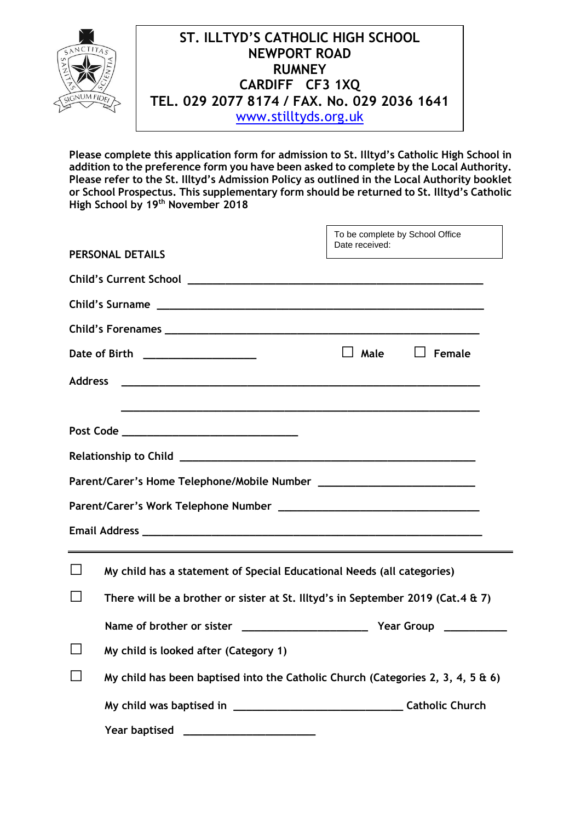

**Please complete this application form for admission to St. Illtyd's Catholic High School in addition to the preference form you have been asked to complete by the Local Authority. Please refer to the St. Illtyd's Admission Policy as outlined in the Local Authority booklet or School Prospectus. This supplementary form should be returned to St. Illtyd's Catholic High School by 19th November 2018**

|                |                                                                                                                                                           | To be complete by School Office<br>Date received: |               |  |  |  |  |
|----------------|-----------------------------------------------------------------------------------------------------------------------------------------------------------|---------------------------------------------------|---------------|--|--|--|--|
|                | <b>PERSONAL DETAILS</b>                                                                                                                                   |                                                   |               |  |  |  |  |
|                |                                                                                                                                                           |                                                   |               |  |  |  |  |
|                |                                                                                                                                                           |                                                   |               |  |  |  |  |
|                |                                                                                                                                                           |                                                   |               |  |  |  |  |
|                | Date of Birth ____________________                                                                                                                        | Male                                              | $\Box$ Female |  |  |  |  |
| <b>Address</b> | <u> 1989 - Johann John Stone, markin amerikan basar dan berkembang di sebagai pengaran dan berkembang dan berkemb</u>                                     |                                                   |               |  |  |  |  |
|                |                                                                                                                                                           |                                                   |               |  |  |  |  |
|                | Post Code ___________________________________                                                                                                             |                                                   |               |  |  |  |  |
|                |                                                                                                                                                           |                                                   |               |  |  |  |  |
|                |                                                                                                                                                           |                                                   |               |  |  |  |  |
|                |                                                                                                                                                           |                                                   |               |  |  |  |  |
|                |                                                                                                                                                           |                                                   |               |  |  |  |  |
|                | My child has a statement of Special Educational Needs (all categories)<br>There will be a brother or sister at St. Illtyd's in September 2019 (Cat.4 & 7) |                                                   |               |  |  |  |  |
|                |                                                                                                                                                           |                                                   |               |  |  |  |  |
|                |                                                                                                                                                           |                                                   |               |  |  |  |  |
|                | My child is looked after (Category 1)                                                                                                                     |                                                   |               |  |  |  |  |
|                | My child has been baptised into the Catholic Church (Categories 2, 3, 4, 5 & 6)                                                                           |                                                   |               |  |  |  |  |
|                |                                                                                                                                                           |                                                   |               |  |  |  |  |
|                | <b>Year baptised</b>                                                                                                                                      |                                                   |               |  |  |  |  |